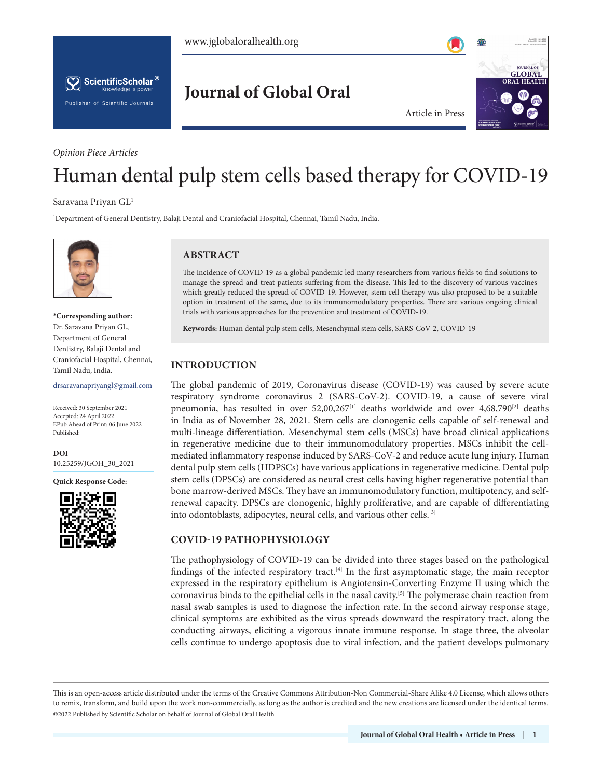



# **Journal of Global Oral**

#### *Opinion Piece Articles*



Article in Press

# Human dental pulp stem cells based therapy for COVID-19

#### Saravana Priyan GL1

1 Department of General Dentistry, Balaji Dental and Craniofacial Hospital, Chennai, Tamil Nadu, India.



#### **\*Corresponding author:** Dr. Saravana Priyan GL, Department of General Dentistry, Balaji Dental and Craniofacial Hospital, Chennai, Tamil Nadu, India.

drsaravanapriyangl@gmail.com

Received: 30 September 2021 Accepted: 24 April 2022 EPub Ahead of Print: 06 June 2022 Published:

**DOI** [10.25259/JGOH\\_30\\_2021](http://dx.doi.org/10.25259/JGOH_30_2021)

**Quick Response Code:**



# **ABSTRACT**

The incidence of COVID-19 as a global pandemic led many researchers from various fields to find solutions to manage the spread and treat patients suffering from the disease. This led to the discovery of various vaccines which greatly reduced the spread of COVID-19. However, stem cell therapy was also proposed to be a suitable option in treatment of the same, due to its immunomodulatory properties. There are various ongoing clinical trials with various approaches for the prevention and treatment of COVID-19.

**Keywords:** Human dental pulp stem cells, Mesenchymal stem cells, SARS-CoV-2, COVID-19

# **INTRODUCTION**

The global pandemic of 2019, Coronavirus disease (COVID-19) was caused by severe acute respiratory syndrome coronavirus 2 (SARS-CoV-2). COVID-19, a cause of severe viral pneumonia, has resulted in over  $52,00,267$ <sup>[1]</sup> deaths worldwide and over  $4,68,790$ <sup>[2]</sup> deaths in India as of November 28, 2021. Stem cells are clonogenic cells capable of self-renewal and multi-lineage differentiation. Mesenchymal stem cells (MSCs) have broad clinical applications in regenerative medicine due to their immunomodulatory properties. MSCs inhibit the cellmediated inflammatory response induced by SARS-CoV-2 and reduce acute lung injury. Human dental pulp stem cells (HDPSCs) have various applications in regenerative medicine. Dental pulp stem cells (DPSCs) are considered as neural crest cells having higher regenerative potential than bone marrow-derived MSCs. They have an immunomodulatory function, multipotency, and selfrenewal capacity. DPSCs are clonogenic, highly proliferative, and are capable of differentiating into odontoblasts, adipocytes, neural cells, and various other cells.[3]

# **COVID-19 PATHOPHYSIOLOGY**

The pathophysiology of COVID-19 can be divided into three stages based on the pathological findings of the infected respiratory tract.<sup>[4]</sup> In the first asymptomatic stage, the main receptor expressed in the respiratory epithelium is Angiotensin-Converting Enzyme II using which the coronavirus binds to the epithelial cells in the nasal cavity.[5] The polymerase chain reaction from nasal swab samples is used to diagnose the infection rate. In the second airway response stage, clinical symptoms are exhibited as the virus spreads downward the respiratory tract, along the conducting airways, eliciting a vigorous innate immune response. In stage three, the alveolar cells continue to undergo apoptosis due to viral infection, and the patient develops pulmonary

This is an open-access article distributed under the terms of the Creative Commons Attribution-Non Commercial-Share Alike 4.0 License, which allows others to remix, transform, and build upon the work non-commercially, as long as the author is credited and the new creations are licensed under the identical terms. ©2022 Published by Scientific Scholar on behalf of Journal of Global Oral Health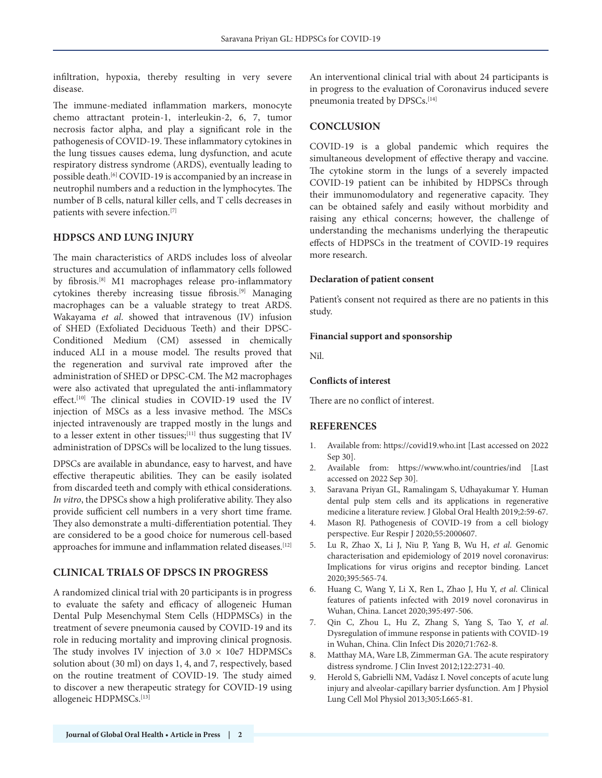infiltration, hypoxia, thereby resulting in very severe disease.

The immune-mediated inflammation markers, monocyte chemo attractant protein-1, interleukin-2, 6, 7, tumor necrosis factor alpha, and play a significant role in the pathogenesis of COVID-19. These inflammatory cytokines in the lung tissues causes edema, lung dysfunction, and acute respiratory distress syndrome (ARDS), eventually leading to possible death.[6] COVID-19 is accompanied by an increase in neutrophil numbers and a reduction in the lymphocytes. The number of B cells, natural killer cells, and T cells decreases in patients with severe infection.[7]

# **HDPSCS AND LUNG INJURY**

The main characteristics of ARDS includes loss of alveolar structures and accumulation of inflammatory cells followed by fibrosis.[8] M1 macrophages release pro-inflammatory cytokines thereby increasing tissue fibrosis.[9] Managing macrophages can be a valuable strategy to treat ARDS. Wakayama *et al*. showed that intravenous (IV) infusion of SHED (Exfoliated Deciduous Teeth) and their DPSC-Conditioned Medium (CM) assessed in chemically induced ALI in a mouse model. The results proved that the regeneration and survival rate improved after the administration of SHED or DPSC-CM. The M2 macrophages were also activated that upregulated the anti-inflammatory effect.<sup>[10]</sup> The clinical studies in COVID-19 used the IV injection of MSCs as a less invasive method. The MSCs injected intravenously are trapped mostly in the lungs and to a lesser extent in other tissues;<sup>[11]</sup> thus suggesting that IV administration of DPSCs will be localized to the lung tissues.

DPSCs are available in abundance, easy to harvest, and have effective therapeutic abilities. They can be easily isolated from discarded teeth and comply with ethical considerations. *In vitro*, the DPSCs show a high proliferative ability. They also provide sufficient cell numbers in a very short time frame. They also demonstrate a multi-differentiation potential. They are considered to be a good choice for numerous cell-based approaches for immune and inflammation related diseases.<sup>[12]</sup>

# **CLINICAL TRIALS OF DPSCS IN PROGRESS**

A randomized clinical trial with 20 participants is in progress to evaluate the safety and efficacy of allogeneic Human Dental Pulp Mesenchymal Stem Cells (HDPMSCs) in the treatment of severe pneumonia caused by COVID-19 and its role in reducing mortality and improving clinical prognosis. The study involves IV injection of  $3.0 \times 10e7$  HDPMSCs solution about (30 ml) on days 1, 4, and 7, respectively, based on the routine treatment of COVID-19. The study aimed to discover a new therapeutic strategy for COVID-19 using allogeneic HDPMSCs.[13]

An interventional clinical trial with about 24 participants is in progress to the evaluation of Coronavirus induced severe pneumonia treated by DPSCs.<sup>[14]</sup>

#### **CONCLUSION**

COVID-19 is a global pandemic which requires the simultaneous development of effective therapy and vaccine. The cytokine storm in the lungs of a severely impacted COVID-19 patient can be inhibited by HDPSCs through their immunomodulatory and regenerative capacity. They can be obtained safely and easily without morbidity and raising any ethical concerns; however, the challenge of understanding the mechanisms underlying the therapeutic effects of HDPSCs in the treatment of COVID-19 requires more research.

#### **Declaration of patient consent**

Patient's consent not required as there are no patients in this study.

#### **Financial support and sponsorship**

Nil.

#### **Conflicts of interest**

There are no conflict of interest.

#### **REFERENCES**

- 1. Available from: https://covid19.who.int [Last accessed on 2022 Sep 30].
- 2. Available from: https://www.who.int/countries/ind [Last accessed on 2022 Sep 30].
- 3. Saravana Priyan GL, Ramalingam S, Udhayakumar Y. Human dental pulp stem cells and its applications in regenerative medicine a literature review. J Global Oral Health 2019;2:59-67.
- 4. Mason RJ. Pathogenesis of COVID-19 from a cell biology perspective. Eur Respir J 2020;55:2000607.
- 5. Lu R, Zhao X, Li J, Niu P, Yang B, Wu H, *et al*. Genomic characterisation and epidemiology of 2019 novel coronavirus: Implications for virus origins and receptor binding. Lancet 2020;395:565-74.
- 6. Huang C, Wang Y, Li X, Ren L, Zhao J, Hu Y, *et al*. Clinical features of patients infected with 2019 novel coronavirus in Wuhan, China. Lancet 2020;395:497-506.
- 7. Qin C, Zhou L, Hu Z, Zhang S, Yang S, Tao Y, *et al*. Dysregulation of immune response in patients with COVID-19 in Wuhan, China. Clin Infect Dis 2020;71:762-8.
- 8. Matthay MA, Ware LB, Zimmerman GA. The acute respiratory distress syndrome. J Clin Invest 2012;122:2731-40.
- 9. Herold S, Gabrielli NM, Vadász I. Novel concepts of acute lung injury and alveolar-capillary barrier dysfunction. Am J Physiol Lung Cell Mol Physiol 2013;305:L665-81.